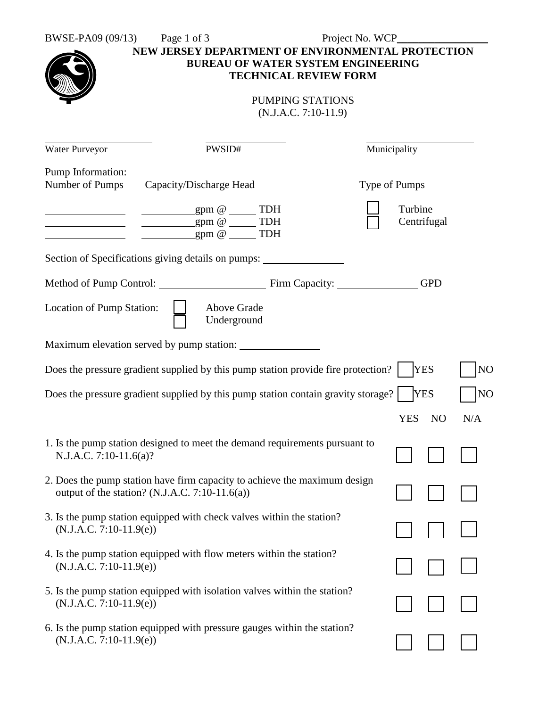| BWSE-PA09 (09/13)                    | Page 1 of 3<br>NEW JERSEY DEPARTMENT OF ENVIRONMENTAL PROTECTION<br><b>BUREAU OF WATER SYSTEM ENGINEERING</b>               | Project No. WCP_ |                              |     |
|--------------------------------------|-----------------------------------------------------------------------------------------------------------------------------|------------------|------------------------------|-----|
|                                      | <b>TECHNICAL REVIEW FORM</b><br>PUMPING STATIONS<br>$(N.J.A.C. 7:10-11.9)$                                                  |                  |                              |     |
| Water Purveyor                       | PWSID#                                                                                                                      |                  | Municipality                 |     |
| Pump Information:<br>Number of Pumps | Capacity/Discharge Head                                                                                                     | Type of Pumps    |                              |     |
|                                      | gpm @ _______TDH<br>$gpm @ \qquad \qquad \text{TDH}$<br>$gpm @$ TDH                                                         |                  | Turbine<br>Centrifugal       |     |
|                                      | Section of Specifications giving details on pumps:                                                                          |                  |                              |     |
|                                      | Method of Pump Control: Firm Capacity: GPD                                                                                  |                  |                              |     |
| Location of Pump Station:            | Above Grade<br>Underground                                                                                                  |                  |                              |     |
|                                      |                                                                                                                             |                  |                              |     |
|                                      | Does the pressure gradient supplied by this pump station provide fire protection?                                           |                  | <b>YES</b>                   | NO  |
|                                      | Does the pressure gradient supplied by this pump station contain gravity storage?                                           |                  | <b>YES</b>                   | NO  |
|                                      |                                                                                                                             |                  | <b>YES</b><br>N <sub>O</sub> | N/A |
| N.J.A.C. 7:10-11.6(a)?               | 1. Is the pump station designed to meet the demand requirements pursuant to                                                 |                  |                              |     |
|                                      | 2. Does the pump station have firm capacity to achieve the maximum design<br>output of the station? (N.J.A.C. 7:10-11.6(a)) |                  |                              |     |
| $(N.J.A.C. 7:10-11.9(e))$            | 3. Is the pump station equipped with check valves within the station?                                                       |                  |                              |     |
| $(N.J.A.C. 7:10-11.9(e))$            | 4. Is the pump station equipped with flow meters within the station?                                                        |                  |                              |     |
| $(N.J.A.C. 7:10-11.9(e))$            | 5. Is the pump station equipped with isolation valves within the station?                                                   |                  |                              |     |
| $(N.J.A.C. 7:10-11.9(e))$            | 6. Is the pump station equipped with pressure gauges within the station?                                                    |                  |                              |     |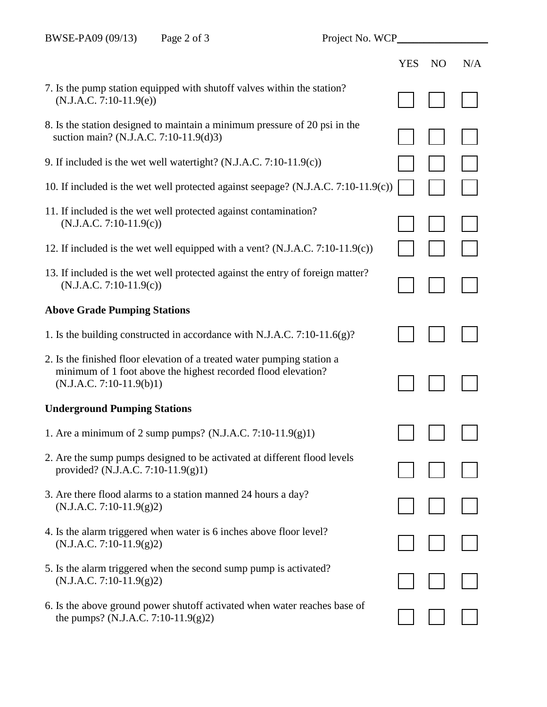|                                                                                                                                                                        | <b>YES</b> | N <sub>O</sub> | N/A |
|------------------------------------------------------------------------------------------------------------------------------------------------------------------------|------------|----------------|-----|
| 7. Is the pump station equipped with shutoff valves within the station?<br>$(N.J.A.C. 7:10-11.9(e))$                                                                   |            |                |     |
| 8. Is the station designed to maintain a minimum pressure of 20 psi in the<br>suction main? (N.J.A.C. 7:10-11.9(d)3)                                                   |            |                |     |
| 9. If included is the wet well watertight? $(N.J.A.C. 7:10-11.9(c))$                                                                                                   |            |                |     |
| 10. If included is the wet well protected against seepage? (N.J.A.C. 7:10-11.9(c))                                                                                     |            |                |     |
| 11. If included is the wet well protected against contamination?<br>$(N.J.A.C. 7:10-11.9(c))$                                                                          |            |                |     |
| 12. If included is the wet well equipped with a vent? $(N.J.A.C. 7:10-11.9(c))$                                                                                        |            |                |     |
| 13. If included is the wet well protected against the entry of foreign matter?<br>$(N.J.A.C. 7:10-11.9(c))$                                                            |            |                |     |
| <b>Above Grade Pumping Stations</b>                                                                                                                                    |            |                |     |
| 1. Is the building constructed in accordance with N.J.A.C. 7:10-11.6(g)?                                                                                               |            |                |     |
| 2. Is the finished floor elevation of a treated water pumping station a<br>minimum of 1 foot above the highest recorded flood elevation?<br>$(N.J.A.C. 7:10-11.9(b)1)$ |            |                |     |
| <b>Underground Pumping Stations</b>                                                                                                                                    |            |                |     |
| 1. Are a minimum of 2 sump pumps? (N.J.A.C. 7:10-11.9(g)1)                                                                                                             |            |                |     |
| 2. Are the sump pumps designed to be activated at different flood levels<br>provided? (N.J.A.C. 7:10-11.9(g)1)                                                         |            |                |     |
| 3. Are there flood alarms to a station manned 24 hours a day?<br>$(N.J.A.C. 7:10-11.9(g)2)$                                                                            |            |                |     |
| 4. Is the alarm triggered when water is 6 inches above floor level?<br>$(N.J.A.C. 7:10-11.9(g)2)$                                                                      |            |                |     |
| 5. Is the alarm triggered when the second sump pump is activated?<br>$(N.J.A.C. 7:10-11.9(g)2)$                                                                        |            |                |     |
| 6. Is the above ground power shutoff activated when water reaches base of<br>the pumps? (N.J.A.C. 7:10-11.9(g)2)                                                       |            |                |     |